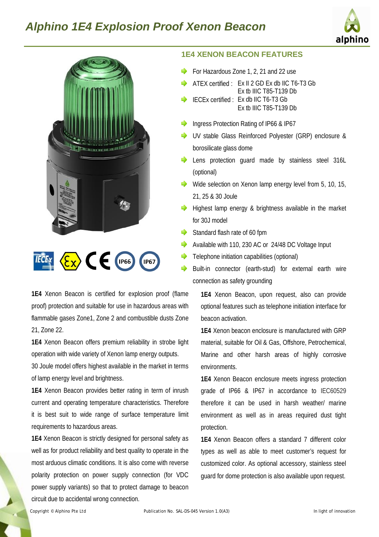## *Alphino 1E4 Explosion Proof Xenon Beacon*





**1E4** Xenon Beacon is certified for explosion proof (flame proof) protection and suitable for use in hazardous areas with flammable gases Zone1, Zone 2 and combustible dusts Zone 21, Zone 22.

**1E4** Xenon Beacon offers premium reliability in strobe light operation with wide variety of Xenon lamp energy outputs.

30 Joule model offers highest available in the market in terms of lamp energy level and brightness.

**1E4** Xenon Beacon provides better rating in term of inrush current and operating temperature characteristics. Therefore it is best suit to wide range of surface temperature limit requirements to hazardous areas.

**1E4** Xenon Beacon is strictly designed for personal safety as well as for product reliability and best quality to operate in the most arduous climatic conditions. It is also come with reverse polarity protection on power supply connection (for VDC power supply variants) so that to protect damage to beacon circuit due to accidental wrong connection.

#### **1E4 XENON BEACON FEATURES**

- For Hazardous Zone 1, 2, 21 and 22 use
- ATEX certified : Ex II 2 GD Ex db IIC T6-T3 Gb Ex tb IIIC T85-T139 Db
- IECEx certified : Ex db IIC T6-T3 Gb Ex tb IIIC T85-T139 Db
- Ingress Protection Rating of IP66 & IP67
- UV stable Glass Reinforced Polyester (GRP) enclosure & borosilicate glass dome
- Lens protection guard made by stainless steel 316L (optional)
- Wide selection on Xenon lamp energy level from  $5, 10, 15,$ 21, 25 & 30 Joule
- Highest lamp energy & brightness available in the market for 30J model
- Standard flash rate of 60 fpm
- Available with 110, 230 AC or 24/48 DC Voltage Input
- Telephone initiation capabilities (optional)
	- Built-in connector (earth-stud) for external earth wire connection as safety grounding

**1E4** Xenon Beacon, upon request, also can provide optional features such as telephone initiation interface for beacon activation.

**1E4** Xenon beacon enclosure is manufactured with GRP material, suitable for Oil & Gas, Offshore, Petrochemical, Marine and other harsh areas of highly corrosive environments.

**1E4** Xenon Beacon enclosure meets ingress protection grade of IP66 & IP67 in accordance to IEC60529 therefore it can be used in harsh weather/ marine environment as well as in areas required dust tight protection.

**1E4** Xenon Beacon offers a standard 7 different color types as well as able to meet customer's request for customized color. As optional accessory, stainless steel guard for dome protection is also available upon request.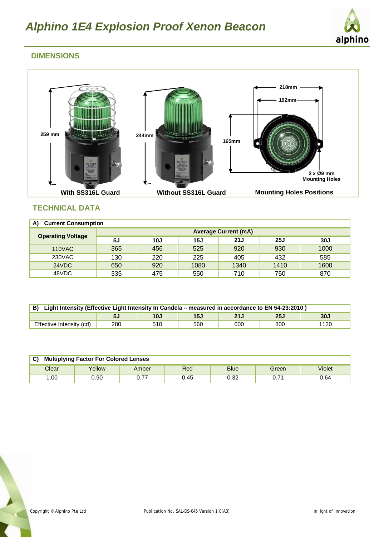

## **DIMENSIONS**



#### **TECHNICAL DATA**

| A)<br><b>Current Consumption</b> |                             |     |      |      |      |            |
|----------------------------------|-----------------------------|-----|------|------|------|------------|
|                                  | <b>Average Current (mA)</b> |     |      |      |      |            |
| <b>Operating Voltage</b>         | 5J                          | 10J | 15J  | 21J  | 25J  | <b>30J</b> |
| <b>110VAC</b>                    | 365                         | 456 | 525  | 920  | 930  | 1000       |
| 230VAC                           | 130                         | 220 | 225  | 405  | 432  | 585        |
| 24VDC                            | 650                         | 920 | 1080 | 1340 | 1410 | 1600       |
| 48VDC                            | 335                         | 475 | 550  | 710  | 750  | 870        |

| B) Light Intensity (Effective Light Intensity In Candela – measured in accordance to EN 54-23:2010) |     |     |     |     |            |      |
|-----------------------------------------------------------------------------------------------------|-----|-----|-----|-----|------------|------|
|                                                                                                     | 5J  | 10J | 15J | 21J | <b>25J</b> | 30J  |
| Effective Intensity (cd)                                                                            | 280 | 510 | 560 | 600 | 800        | 1120 |

| C)<br><b>Multiplying Factor For Colored Lenses</b> |        |       |      |             |       |        |
|----------------------------------------------------|--------|-------|------|-------------|-------|--------|
| Clear                                              | Yellow | Amber | Red  | <b>Blue</b> | Green | Violet |
| .00                                                | 9.90   | U.II  | 0.45 | 0.32        | 0.71  | 0.64   |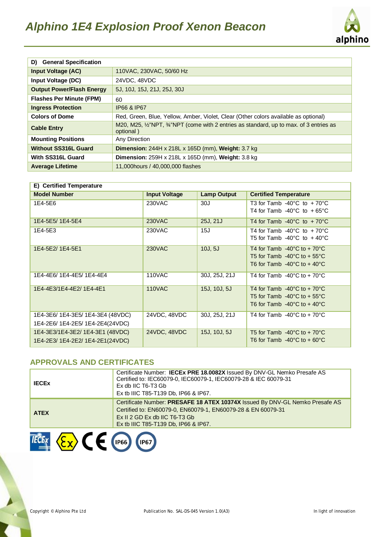

| D) General Specification         |                                                                                                  |  |  |  |
|----------------------------------|--------------------------------------------------------------------------------------------------|--|--|--|
| <b>Input Voltage (AC)</b>        | 110VAC, 230VAC, 50/60 Hz                                                                         |  |  |  |
| Input Voltage (DC)               | 24VDC, 48VDC                                                                                     |  |  |  |
| <b>Output Power/Flash Energy</b> | 5J, 10J, 15J, 21J, 25J, 30J                                                                      |  |  |  |
| <b>Flashes Per Minute (FPM)</b>  | 60                                                                                               |  |  |  |
| <b>Ingress Protection</b>        | IP66 & IP67                                                                                      |  |  |  |
| <b>Colors of Dome</b>            | Red, Green, Blue, Yellow, Amber, Violet, Clear (Other colors available as optional)              |  |  |  |
| <b>Cable Entry</b>               | M20, M25, ½"NPT, ¼"NPT (come with 2 entries as standard, up to max. of 3 entries as<br>optional) |  |  |  |
| <b>Mounting Positions</b>        | Any Direction                                                                                    |  |  |  |
| <b>Without SS316L Guard</b>      | Dimension: 244H x 218L x 165D (mm), Weight: 3.7 kg                                               |  |  |  |
| With SS316L Guard                | <b>Dimension:</b> 259H x 218L x 165D (mm), <b>Weight:</b> 3.8 kg                                 |  |  |  |
| <b>Average Lifetime</b>          | 11,000 hours / 40,000,000 flashes                                                                |  |  |  |

| E) Certified Temperature          |                      |                    |                                                  |  |
|-----------------------------------|----------------------|--------------------|--------------------------------------------------|--|
| <b>Model Number</b>               | <b>Input Voltage</b> | <b>Lamp Output</b> | <b>Certified Temperature</b>                     |  |
| 1E4-5E6                           | 230VAC               | 30J                | T3 for Tamb $-40^{\circ}$ C to $+70^{\circ}$ C   |  |
|                                   |                      |                    | T4 for Tamb $-40^{\circ}$ C to $+65^{\circ}$ C   |  |
| 1E4-5E5/1E4-5E4                   | <b>230VAC</b>        | 25J, 21J           | T4 for Tamb $-40^{\circ}$ C to $+70^{\circ}$ C   |  |
| 1E4-5E3                           | 230VAC               | 15J                | T4 for Tamb $-40^{\circ}$ C to $+70^{\circ}$ C   |  |
|                                   |                      |                    | T5 for Tamb $-40^{\circ}$ C to $+40^{\circ}$ C   |  |
| 1E4-5E2/1E4-5E1                   | 230VAC               | 10J, 5J            | T4 for Tamb $-40^{\circ}$ C to + 70 $^{\circ}$ C |  |
|                                   |                      |                    | T5 for Tamb $-40^{\circ}$ C to + 55 $^{\circ}$ C |  |
|                                   |                      |                    | T6 for Tamb $-40^{\circ}$ C to + 40 $^{\circ}$ C |  |
| 1E4-4E6/1E4-4E5/1E4-4E4           | <b>110VAC</b>        | 30J, 25J, 21J      | T4 for Tamb $-40^{\circ}$ C to + 70 $^{\circ}$ C |  |
| 1E4-4E3/1E4-4E2/1E4-4E1           | <b>110VAC</b>        | 15J, 10J, 5J       | T4 for Tamb $-40^{\circ}$ C to + 70 $^{\circ}$ C |  |
|                                   |                      |                    | T5 for Tamb $-40^{\circ}$ C to + 55 $^{\circ}$ C |  |
|                                   |                      |                    | T6 for Tamb $-40^{\circ}$ C to $+40^{\circ}$ C   |  |
| 1E4-3E6/ 1E4-3E5/ 1E4-3E4 (48VDC) | 24VDC, 48VDC         | 30J, 25J, 21J      | T4 for Tamb $-40^{\circ}$ C to + 70 $^{\circ}$ C |  |
| 1E4-2E6/ 1E4-2E5/ 1E4-2E4(24VDC)  |                      |                    |                                                  |  |
| 1E4-3E3/1E4-3E2/1E4-3E1 (48VDC)   | 24VDC, 48VDC         | 15J, 10J, 5J       | T5 for Tamb $-40^{\circ}$ C to $+70^{\circ}$ C   |  |
| 1E4-2E3/1E4-2E2/1E4-2E1(24VDC)    |                      |                    | T6 for Tamb $-40^{\circ}$ C to + 60 $^{\circ}$ C |  |

## **APPROVALS AND CERTIFICATES**

| <b>IECEX</b> | Certificate Number: IECEx PRE 18.0082X Issued By DNV-GL Nemko Presafe AS<br>Certified to: IEC60079-0, IEC60079-1, IEC60079-28 & IEC 60079-31<br>Ex db IIC T6-T3 Gb<br>Ex tb IIIC T85-T139 Db, IP66 & IP67.            |
|--------------|-----------------------------------------------------------------------------------------------------------------------------------------------------------------------------------------------------------------------|
| <b>ATEX</b>  | Certificate Number: PRESAFE 18 ATEX 10374X Issued By DNV-GL Nemko Presafe AS<br>Certified to: EN60079-0, EN60079-1, EN60079-28 & EN 60079-31<br>Ex II 2 GD Ex db IIC T6-T3 Gb<br>Ex tb IIIC T85-T139 Db, IP66 & IP67. |